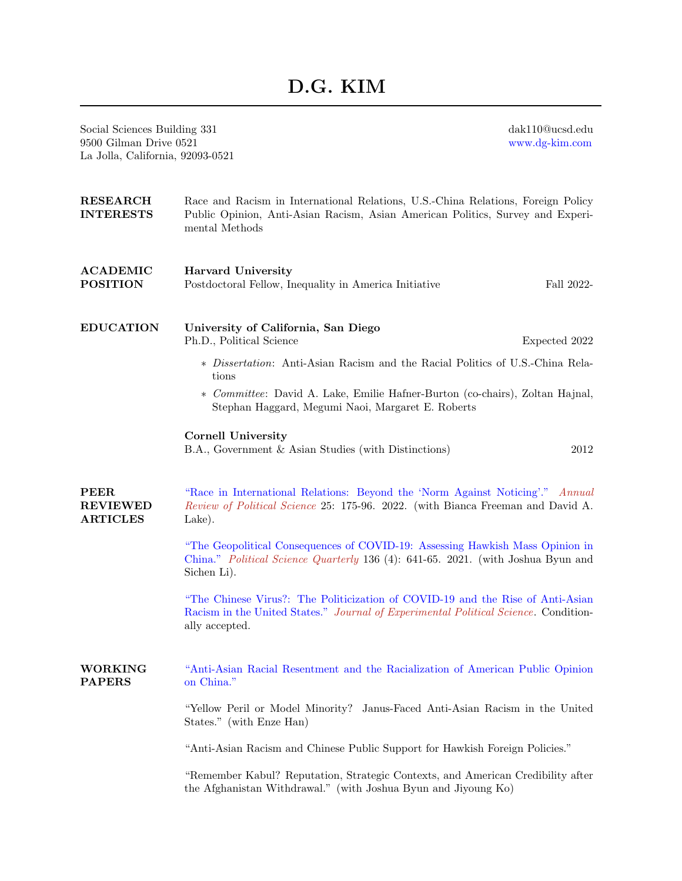## D.G. KIM

Social Sciences Building 331 9500 Gilman Drive 0521 La Jolla, California, 92093-0521 dak110@ucsd.edu [www.dg-kim.com](http://www.dg-kim.com) RESEARCH INTERESTS Race and Racism in International Relations, U.S.-China Relations, Foreign Policy Public Opinion, Anti-Asian Racism, Asian American Politics, Survey and Experimental Methods ACADEMIC POSITION Harvard University Postdoctoral Fellow, Inequality in America Initiative Fall 2022- EDUCATION University of California, San Diego Ph.D., Political Science Expected 2022 ∗ Dissertation: Anti-Asian Racism and the Racial Politics of U.S.-China Relations ∗ Committee: David A. Lake, Emilie Hafner-Burton (co-chairs), Zoltan Hajnal, Stephan Haggard, Megumi Naoi, Margaret E. Roberts Cornell University B.A., Government & Asian Studies (with Distinctions) 2012 PEER REVIEWED ARTICLES ["Race in International Relations: Beyond the 'Norm Against Noticing'."](https://www.annualreviews.org/doi/abs/10.1146/annurev-polisci-051820-120746) Annual Review of Political Science 25: 175-96. 2022. (with Bianca Freeman and David A. Lake). ["The Geopolitical Consequences of COVID-19: Assessing Hawkish Mass Opinion in](https://onlinelibrary.wiley.com/doi/full/10.1002/polq.13241) [China."](https://onlinelibrary.wiley.com/doi/full/10.1002/polq.13241) Political Science Quarterly 136 (4): 641-65. 2021. (with Joshua Byun and Sichen Li). ["The Chinese Virus?: The Politicization of COVID-19 and the Rise of Anti-Asian](https://www.dropbox.com/s/x2bhpkf48xwyxsj/Writing%20sample%203_D.G.%20Kim.pdf?dl=0) [Racism in the United States."](https://www.dropbox.com/s/x2bhpkf48xwyxsj/Writing%20sample%203_D.G.%20Kim.pdf?dl=0) Journal of Experimental Political Science. Conditionally accepted. WORKING PAPERS ["Anti-Asian Racial Resentment and the Racialization of American Public Opinion](https://www.dropbox.com/s/9n2vz6u8e2rhqm7/Writing%20sample%201_D.G.%20Kim.pdf?dl=0) [on China."](https://www.dropbox.com/s/9n2vz6u8e2rhqm7/Writing%20sample%201_D.G.%20Kim.pdf?dl=0) "Yellow Peril or Model Minority? Janus-Faced Anti-Asian Racism in the United States." (with Enze Han) "Anti-Asian Racism and Chinese Public Support for Hawkish Foreign Policies." "Remember Kabul? Reputation, Strategic Contexts, and American Credibility after the Afghanistan Withdrawal." (with Joshua Byun and Jiyoung Ko)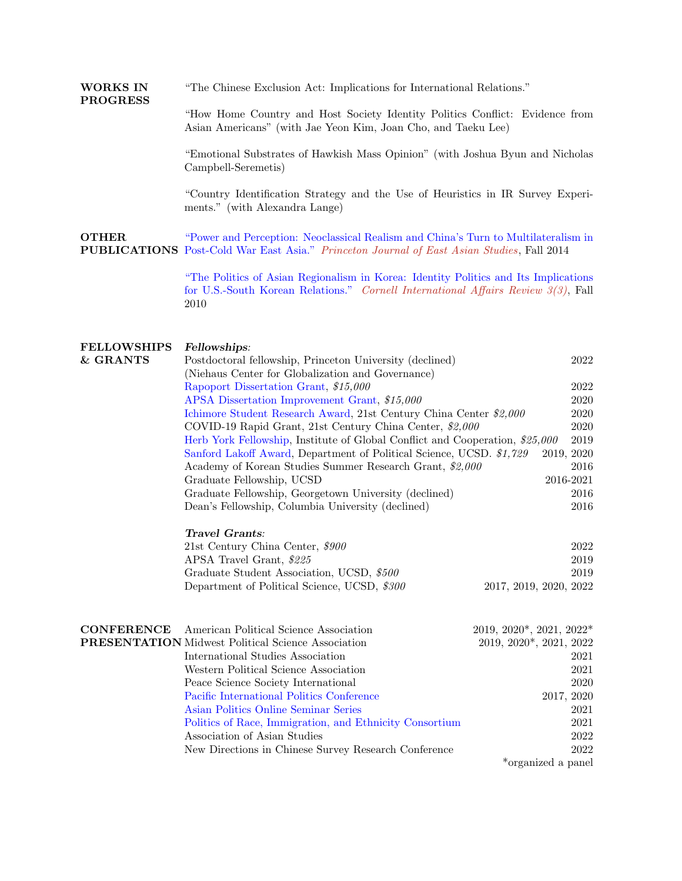WORKS IN "The Chinese Exclusion Act: Implications for International Relations."

> "How Home Country and Host Society Identity Politics Conflict: Evidence from Asian Americans" (with Jae Yeon Kim, Joan Cho, and Taeku Lee)

> "Emotional Substrates of Hawkish Mass Opinion" (with Joshua Byun and Nicholas Campbell-Seremetis)

> "Country Identification Strategy and the Use of Heuristics in IR Survey Experiments." (with Alexandra Lange)

OTHER PUBLICATIONS [Post-Cold War East Asia."](https://www.dropbox.com/s/uk5dcwh4e990q7u/PJEAS_Kim.pdf?dl=0) Princeton Journal of East Asian Studies, Fall 2014 ["Power and Perception: Neoclassical Realism and China's Turn to Multilateralism in](https://www.dropbox.com/s/uk5dcwh4e990q7u/PJEAS_Kim.pdf?dl=0)

> ["The Politics of Asian Regionalism in Korea: Identity Politics and Its Implications](https://www.dropbox.com/s/hvx1nclnuhzdi5b/Cornell%20International%20Affairs%20Review_Daegyeong%20Kim.pdf?dl=0) [for U.S.-South Korean Relations."](https://www.dropbox.com/s/hvx1nclnuhzdi5b/Cornell%20International%20Affairs%20Review_Daegyeong%20Kim.pdf?dl=0) Cornell International Affairs Review 3(3), Fall 2010

## FELLOWSHIPS Fellowships:

PROGRESS

| & GRANTS          | Postdoctoral fellowship, Princeton University (declined)                                     | 2022                     |  |  |  |
|-------------------|----------------------------------------------------------------------------------------------|--------------------------|--|--|--|
|                   | (Niehaus Center for Globalization and Governance)                                            |                          |  |  |  |
|                   | Rapoport Dissertation Grant, \$15,000                                                        | 2022                     |  |  |  |
|                   | APSA Dissertation Improvement Grant, \$15,000                                                | 2020                     |  |  |  |
|                   | Ichimore Student Research Award, 21st Century China Center \$2,000                           |                          |  |  |  |
|                   | COVID-19 Rapid Grant, 21st Century China Center, \$2,000                                     |                          |  |  |  |
|                   | 2020<br>2019<br>Herb York Fellowship, Institute of Global Conflict and Cooperation, \$25,000 |                          |  |  |  |
|                   | Sanford Lakoff Award, Department of Political Science, UCSD. \$1,729<br>2019, 2020           |                          |  |  |  |
|                   | Academy of Korean Studies Summer Research Grant, \$2,000                                     |                          |  |  |  |
|                   | Graduate Fellowship, UCSD                                                                    | 2016-2021                |  |  |  |
|                   | Graduate Fellowship, Georgetown University (declined)                                        | 2016                     |  |  |  |
|                   | Dean's Fellowship, Columbia University (declined)                                            | 2016                     |  |  |  |
|                   | Travel Grants:                                                                               |                          |  |  |  |
|                   | 21st Century China Center, \$900                                                             | 2022                     |  |  |  |
|                   | APSA Travel Grant, \$225                                                                     | 2019                     |  |  |  |
|                   | Graduate Student Association, UCSD, \$500                                                    | 2019                     |  |  |  |
|                   | Department of Political Science, UCSD, \$300                                                 | 2017, 2019, 2020, 2022   |  |  |  |
|                   |                                                                                              |                          |  |  |  |
| <b>CONFERENCE</b> | American Political Science Association                                                       | 2019, 2020*, 2021, 2022* |  |  |  |
|                   | <b>PRESENTATION</b> Midwest Political Science Association                                    | 2019, 2020*, 2021, 2022  |  |  |  |
|                   | International Studies Association                                                            | 2021                     |  |  |  |
|                   | Western Political Science Association                                                        | 2021                     |  |  |  |
|                   | Peace Science Society International                                                          | 2020                     |  |  |  |
|                   | Pacific International Politics Conference                                                    | 2017, 2020               |  |  |  |
|                   | Asian Politics Online Seminar Series                                                         | 2021                     |  |  |  |
|                   | Politics of Race, Immigration, and Ethnicity Consortium                                      | 2021                     |  |  |  |
|                   | Association of Asian Studies                                                                 | 2022                     |  |  |  |
|                   | New Directions in Chinese Survey Research Conference                                         | 2022                     |  |  |  |
|                   |                                                                                              | *organized a panel       |  |  |  |